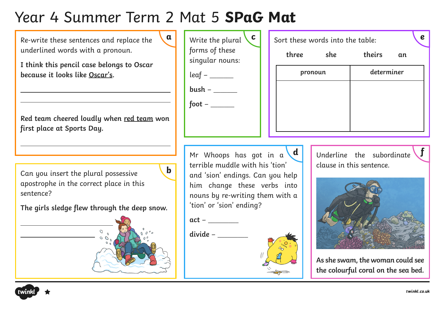# Year 4 Summer Term 2 Mat 5 **SPaG Mat**

**b**

Re-write these sentences and replace the underlined words with a pronoun.

**I think this pencil case belongs to Oscar because it looks like Oscar's.** 

**Red team cheered loudly when red team won first place at Sports Day.**

Can you insert the plural possessive apostrophe in the correct place in this sentence?

**The girls sledge flew through the deep snow.**

| Write the plural<br>forms of these<br>singular nouns: |
|-------------------------------------------------------|
| leaf – $\_$                                           |
| bush –                                                |
| foot $-$                                              |
|                                                       |

| a |                                  | $\mathbf c$<br>Write the plural<br>forms of these | Sort these words into the table:<br>three | she        | theirs | an | e |
|---|----------------------------------|---------------------------------------------------|-------------------------------------------|------------|--------|----|---|
|   | singular nouns:<br>$leaf - \_\_$ | pronoun                                           |                                           | determiner |        |    |   |
|   |                                  | bush $-$                                          |                                           |            |        |    |   |
|   |                                  | foot $-$                                          |                                           |            |        |    |   |
| r |                                  |                                                   |                                           |            |        |    |   |
|   |                                  |                                                   |                                           |            |        |    |   |

Mr Whoops has got in  $a \ d$ terrible muddle with his 'tion' and 'sion' endings. Can you help him change these verbs into nouns by re-writing them with a 'tion' or 'sion' ending?

**act** – \_\_\_\_\_\_\_\_\_

**divide** – \_\_\_\_\_\_\_\_\_



Underline the subordinate **d f** clause in this sentence.



**As she swam, the woman could see the colourful coral on the sea bed.**

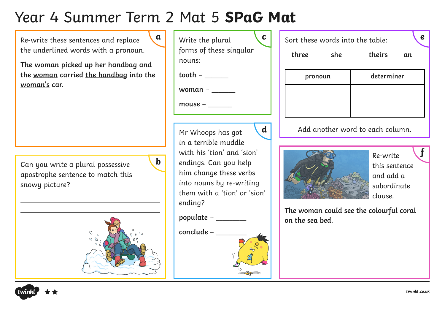# Year 4 Summer Term 2 Mat 5 **SPaG Mat**

**b**

Re-write these sentences and replace the underlined words with a pronoun.

**The woman picked up her handbag and the woman carried the handbag into the woman's car.**

Can you write a plural possessive apostrophe sentence to match this snowy picture?



| Write the plural                        |  |  |  |  |  |
|-----------------------------------------|--|--|--|--|--|
| forms of these singular                 |  |  |  |  |  |
| nouns:                                  |  |  |  |  |  |
| tooth –                                 |  |  |  |  |  |
| woman –                                 |  |  |  |  |  |
| mouse –                                 |  |  |  |  |  |
|                                         |  |  |  |  |  |
|                                         |  |  |  |  |  |
| Mr Whoops has got                       |  |  |  |  |  |
| in a terrible muddle                    |  |  |  |  |  |
| with his 'tion' and 'sion'              |  |  |  |  |  |
| endings. Can you help                   |  |  |  |  |  |
| him change these verbs                  |  |  |  |  |  |
| into nouns by re-writing                |  |  |  |  |  |
| them with a 'tion' or 'sion'<br>ending? |  |  |  |  |  |

**populate** – \_\_\_\_\_\_\_\_\_

**conclude** – \_\_\_\_\_\_\_\_\_

| $\overline{\mathbf{a}}$ | $\mathbf c$<br>Write the plural<br>forms of these singular<br>nouns: | Sort these words into the table:<br>theirs<br>she<br>three | e<br>an                          |  |
|-------------------------|----------------------------------------------------------------------|------------------------------------------------------------|----------------------------------|--|
|                         |                                                                      | pronoun                                                    | determiner                       |  |
|                         | woman $-$                                                            |                                                            |                                  |  |
|                         | mouse -                                                              |                                                            |                                  |  |
|                         | d                                                                    |                                                            | Add another word to each column. |  |



Re-write this sentence and add a subordinate clause.

**The woman could see the colourful coral on the sea bed.**



**f**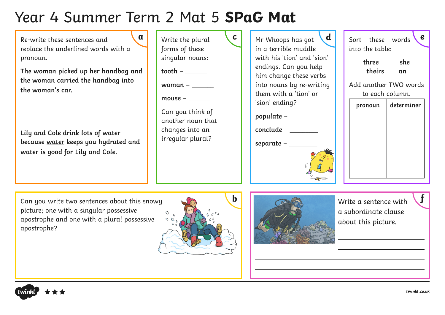#### Year 4 Summer Term 2 Mat 5 **SPaG Mat**

**a** Write the plural **c** Mr Whoops has got **d** Sort these words **e** Re-write these sentences and Write the plural Sort these words replace the underlined words with a forms of these in a terrible muddle into the table: with his 'tion' and 'sion' singular nouns: pronoun. **three she**  endings. Can you help **tooth** – \_\_\_\_\_\_\_ **The woman picked up her handbag and theirs an** him change these verbs **the woman carried the handbag into woman** – \_\_\_\_\_\_\_ into nouns by re-writing Add another TWO words **the woman's car.** them with a 'tion' or to each column. **mouse** – \_\_\_\_\_\_\_ 'sion' ending? **pronoun determiner** Can you think of **populate** – \_\_\_\_\_\_\_\_\_ another noun that changes into an **conclude** – \_\_\_\_\_\_\_\_\_ **Lily and Cole drink lots of water**  irregular plural? **because water keeps you hydrated and separate** – \_\_\_\_\_\_\_\_\_ **water is good for Lily and Cole.** Write a sentence with **b f**Can you write two sentences about this snowy picture; one with a singular possessive a subordinate clause apostrophe and one with a plural possessive about this picture. apostrophe?

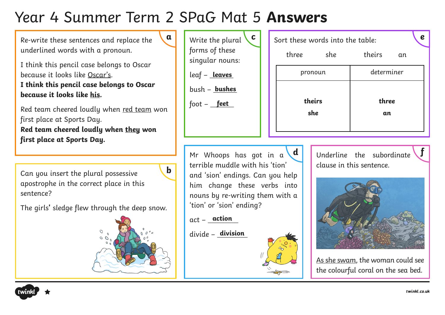# Year 4 Summer Term 2 SPaG Mat 5 **Answers**

**b**

Re-write these sentences and replace the underlined words with a pronoun.

I think this pencil case belongs to Oscar because it looks like Oscar's. **I think this pencil case belongs to Oscar because it looks like his.**

Red team cheered loudly when red team won first place at Sports Day. **Red team cheered loudly when they won first place at Sports Day.**

Can you insert the plural possessive apostrophe in the correct place in this sentence?

The girls**'** sledge flew through the deep snow.



| C<br>Write the plural<br>forms of these<br>singular nouns: |
|------------------------------------------------------------|
| leaf – <u>leaves</u>                                       |
| bush – <b>bushes</b>                                       |
| foot $-$ feet                                              |

| a | $\mathbf c$<br>Write the plural<br>forms of these<br>singular nouns: |        | Sort these words into the table:<br>she<br>three | theirs<br>an | e |
|---|----------------------------------------------------------------------|--------|--------------------------------------------------|--------------|---|
|   | leaf - leaves                                                        |        | pronoun                                          | determiner   |   |
|   | bush - bushes                                                        |        |                                                  |              |   |
|   | $foot - feet$                                                        | theirs | three                                            |              |   |
|   |                                                                      |        | she                                              | an           |   |
|   |                                                                      |        |                                                  |              |   |

Mr Whoops has got in a terrible muddle with his 'tion' and 'sion' endings. Can you help him change these verbs into nouns by re-writing them with a 'tion' or 'sion' ending?

act – \_\_\_\_\_\_\_\_\_ **action**

divide – <u>division</u>



Underline the subordinate **d f** clause in this sentence.



As she swam, the woman could see the colourful coral on the sea bed.

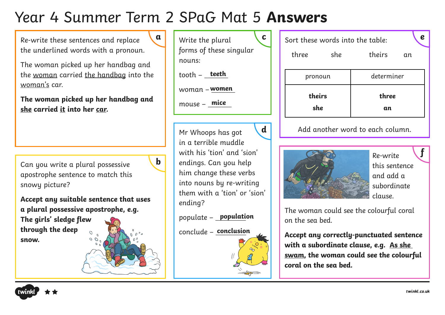# Year 4 Summer Term 2 SPaG Mat 5 **Answers**

**b**

Re-write these sentences and replace the underlined words with a pronoun.

The woman picked up her handbag and the woman carried the handbag into the woman's car.

**The woman picked up her handbag and she carried it into her car.**

Can you write a plural possessive apostrophe sentence to match this snowy picture?

**Accept any suitable sentence that uses a plural possessive apostrophe, e.g.** 

**The girls' sledge flew through the deep snow.**



Write the plural forms of these singular nouns:

tooth – \_\_\_\_\_\_\_ **teeth**

woman – <mark>women</mark>

mouse – <u>mice</u>

Mr Whoops has got in a terrible muddle with his 'tion' and 'sion' endings. Can you help him change these verbs into nouns by re-writing them with a 'tion' or 'sion' ending? **d**

populate – \_\_\_\_\_\_\_\_\_ **population**

conclude – \_\_\_\_\_\_\_\_\_ **conclusion**



#### Add another word to each column.



Re-write this sentence and add a subordinate clause.

The woman could see the colourful coral on the sea bed.

**Accept any correctly-punctuated sentence with a subordinate clause, e.g. As she swam, the woman could see the colourful coral on the sea bed.**



**f**